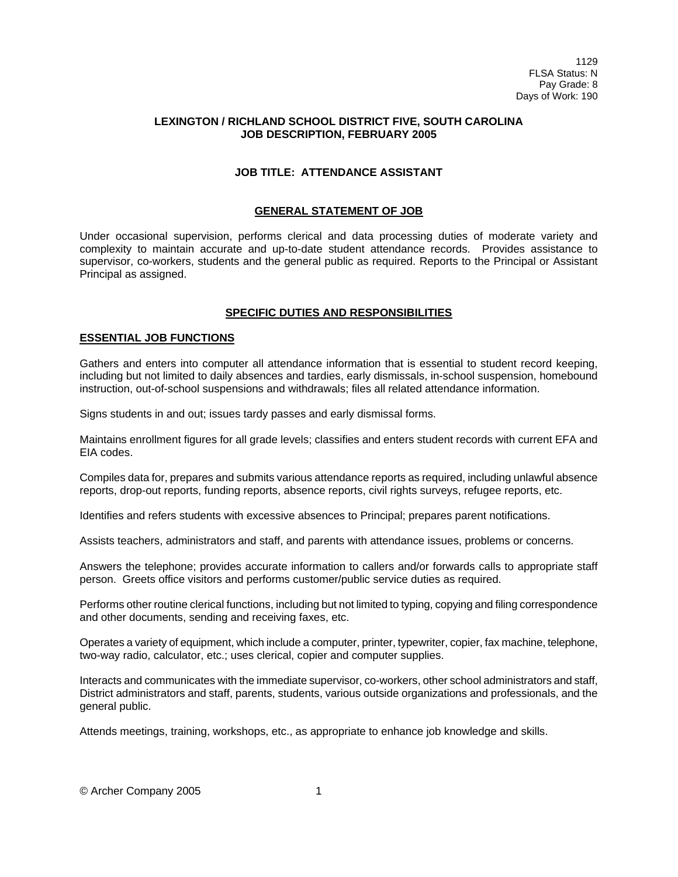## **LEXINGTON / RICHLAND SCHOOL DISTRICT FIVE, SOUTH CAROLINA JOB DESCRIPTION, FEBRUARY 2005**

## **JOB TITLE: ATTENDANCE ASSISTANT**

# **GENERAL STATEMENT OF JOB**

Under occasional supervision, performs clerical and data processing duties of moderate variety and complexity to maintain accurate and up-to-date student attendance records. Provides assistance to supervisor, co-workers, students and the general public as required. Reports to the Principal or Assistant Principal as assigned.

## **SPECIFIC DUTIES AND RESPONSIBILITIES**

## **ESSENTIAL JOB FUNCTIONS**

Gathers and enters into computer all attendance information that is essential to student record keeping, including but not limited to daily absences and tardies, early dismissals, in-school suspension, homebound instruction, out-of-school suspensions and withdrawals; files all related attendance information.

Signs students in and out; issues tardy passes and early dismissal forms.

Maintains enrollment figures for all grade levels; classifies and enters student records with current EFA and EIA codes.

Compiles data for, prepares and submits various attendance reports as required, including unlawful absence reports, drop-out reports, funding reports, absence reports, civil rights surveys, refugee reports, etc.

Identifies and refers students with excessive absences to Principal; prepares parent notifications.

Assists teachers, administrators and staff, and parents with attendance issues, problems or concerns.

Answers the telephone; provides accurate information to callers and/or forwards calls to appropriate staff person. Greets office visitors and performs customer/public service duties as required.

Performs other routine clerical functions, including but not limited to typing, copying and filing correspondence and other documents, sending and receiving faxes, etc.

Operates a variety of equipment, which include a computer, printer, typewriter, copier, fax machine, telephone, two-way radio, calculator, etc.; uses clerical, copier and computer supplies.

Interacts and communicates with the immediate supervisor, co-workers, other school administrators and staff, District administrators and staff, parents, students, various outside organizations and professionals, and the general public.

Attends meetings, training, workshops, etc., as appropriate to enhance job knowledge and skills.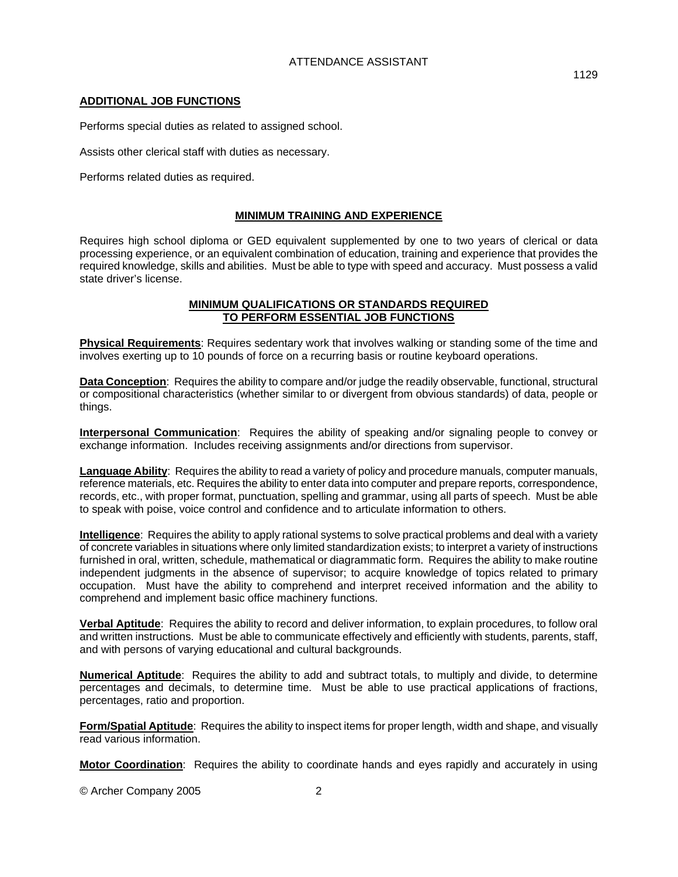# **ADDITIONAL JOB FUNCTIONS**

Performs special duties as related to assigned school.

Assists other clerical staff with duties as necessary.

Performs related duties as required.

# **MINIMUM TRAINING AND EXPERIENCE**

Requires high school diploma or GED equivalent supplemented by one to two years of clerical or data processing experience, or an equivalent combination of education, training and experience that provides the required knowledge, skills and abilities. Must be able to type with speed and accuracy. Must possess a valid state driver's license.

## **MINIMUM QUALIFICATIONS OR STANDARDS REQUIRED TO PERFORM ESSENTIAL JOB FUNCTIONS**

**Physical Requirements**: Requires sedentary work that involves walking or standing some of the time and involves exerting up to 10 pounds of force on a recurring basis or routine keyboard operations.

**Data Conception**: Requires the ability to compare and/or judge the readily observable, functional, structural or compositional characteristics (whether similar to or divergent from obvious standards) of data, people or things.

**Interpersonal Communication**: Requires the ability of speaking and/or signaling people to convey or exchange information. Includes receiving assignments and/or directions from supervisor.

**Language Ability**: Requires the ability to read a variety of policy and procedure manuals, computer manuals, reference materials, etc. Requires the ability to enter data into computer and prepare reports, correspondence, records, etc., with proper format, punctuation, spelling and grammar, using all parts of speech. Must be able to speak with poise, voice control and confidence and to articulate information to others.

**Intelligence**: Requires the ability to apply rational systems to solve practical problems and deal with a variety of concrete variables in situations where only limited standardization exists; to interpret a variety of instructions furnished in oral, written, schedule, mathematical or diagrammatic form. Requires the ability to make routine independent judgments in the absence of supervisor; to acquire knowledge of topics related to primary occupation. Must have the ability to comprehend and interpret received information and the ability to comprehend and implement basic office machinery functions.

**Verbal Aptitude**: Requires the ability to record and deliver information, to explain procedures, to follow oral and written instructions. Must be able to communicate effectively and efficiently with students, parents, staff, and with persons of varying educational and cultural backgrounds.

**Numerical Aptitude**: Requires the ability to add and subtract totals, to multiply and divide, to determine percentages and decimals, to determine time. Must be able to use practical applications of fractions, percentages, ratio and proportion.

**Form/Spatial Aptitude**: Requires the ability to inspect items for proper length, width and shape, and visually read various information.

**Motor Coordination**: Requires the ability to coordinate hands and eyes rapidly and accurately in using

© Archer Company 2005 2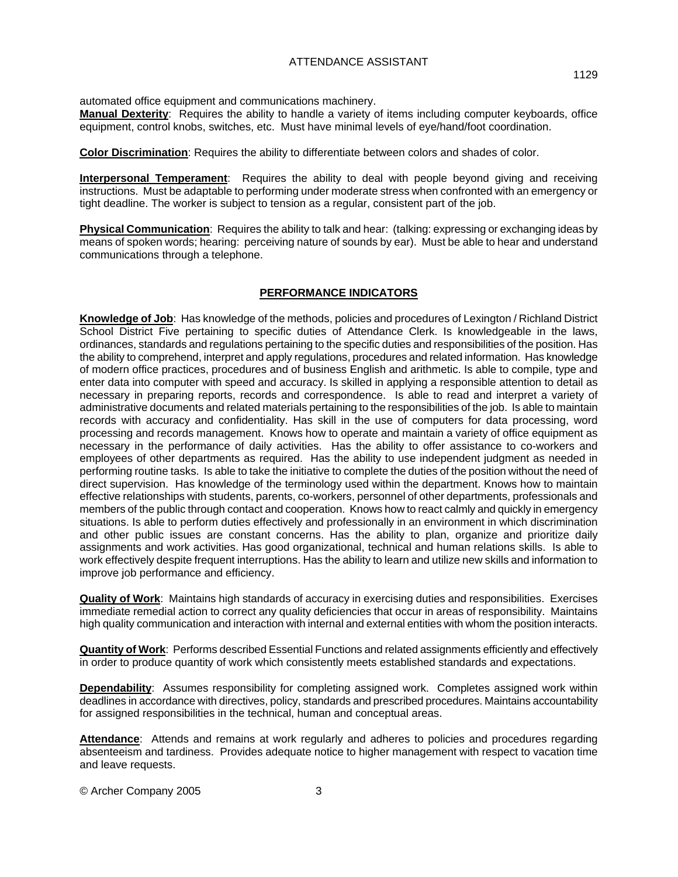automated office equipment and communications machinery.

**Manual Dexterity**: Requires the ability to handle a variety of items including computer keyboards, office equipment, control knobs, switches, etc. Must have minimal levels of eye/hand/foot coordination.

**Color Discrimination**: Requires the ability to differentiate between colors and shades of color.

**Interpersonal Temperament**: Requires the ability to deal with people beyond giving and receiving instructions. Must be adaptable to performing under moderate stress when confronted with an emergency or tight deadline. The worker is subject to tension as a regular, consistent part of the job.

**Physical Communication**: Requires the ability to talk and hear: (talking: expressing or exchanging ideas by means of spoken words; hearing: perceiving nature of sounds by ear). Must be able to hear and understand communications through a telephone.

## **PERFORMANCE INDICATORS**

**Knowledge of Job**: Has knowledge of the methods, policies and procedures of Lexington / Richland District School District Five pertaining to specific duties of Attendance Clerk. Is knowledgeable in the laws, ordinances, standards and regulations pertaining to the specific duties and responsibilities of the position. Has the ability to comprehend, interpret and apply regulations, procedures and related information. Has knowledge of modern office practices, procedures and of business English and arithmetic. Is able to compile, type and enter data into computer with speed and accuracy. Is skilled in applying a responsible attention to detail as necessary in preparing reports, records and correspondence. Is able to read and interpret a variety of administrative documents and related materials pertaining to the responsibilities of the job. Is able to maintain records with accuracy and confidentiality. Has skill in the use of computers for data processing, word processing and records management. Knows how to operate and maintain a variety of office equipment as necessary in the performance of daily activities. Has the ability to offer assistance to co-workers and employees of other departments as required. Has the ability to use independent judgment as needed in performing routine tasks. Is able to take the initiative to complete the duties of the position without the need of direct supervision. Has knowledge of the terminology used within the department. Knows how to maintain effective relationships with students, parents, co-workers, personnel of other departments, professionals and members of the public through contact and cooperation. Knows how to react calmly and quickly in emergency situations. Is able to perform duties effectively and professionally in an environment in which discrimination and other public issues are constant concerns. Has the ability to plan, organize and prioritize daily assignments and work activities. Has good organizational, technical and human relations skills. Is able to work effectively despite frequent interruptions. Has the ability to learn and utilize new skills and information to improve job performance and efficiency.

**Quality of Work**: Maintains high standards of accuracy in exercising duties and responsibilities. Exercises immediate remedial action to correct any quality deficiencies that occur in areas of responsibility. Maintains high quality communication and interaction with internal and external entities with whom the position interacts.

**Quantity of Work**: Performs described Essential Functions and related assignments efficiently and effectively in order to produce quantity of work which consistently meets established standards and expectations.

**Dependability**: Assumes responsibility for completing assigned work. Completes assigned work within deadlines in accordance with directives, policy, standards and prescribed procedures. Maintains accountability for assigned responsibilities in the technical, human and conceptual areas.

Attendance: Attends and remains at work regularly and adheres to policies and procedures regarding absenteeism and tardiness. Provides adequate notice to higher management with respect to vacation time and leave requests.

© Archer Company 2005 3